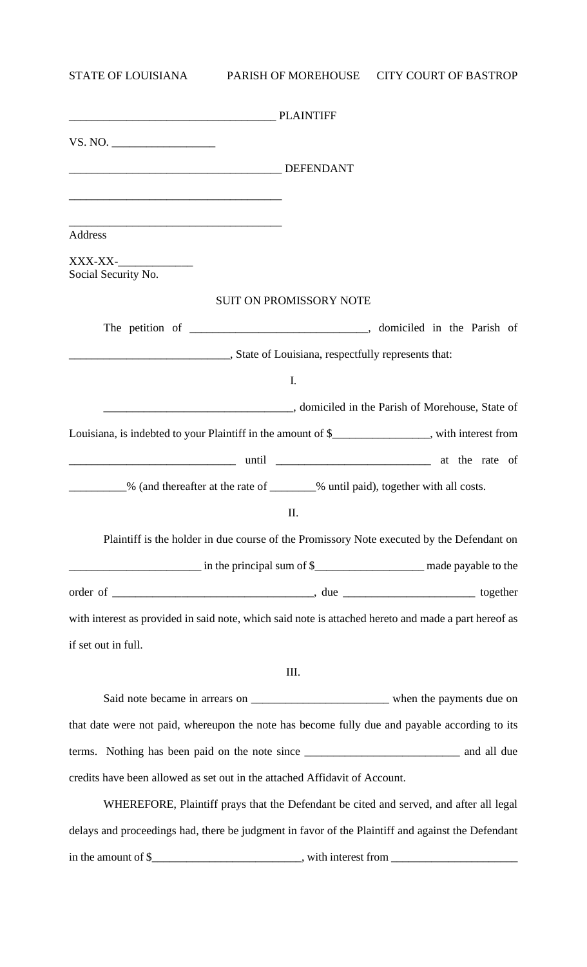STATE OF LOUISIANA PARISH OF MOREHOUSE CITY COURT OF BASTROP

| <b>Address</b>                                                                                       |                                |  |
|------------------------------------------------------------------------------------------------------|--------------------------------|--|
| $XXX-XX$ -                                                                                           |                                |  |
| Social Security No.                                                                                  |                                |  |
|                                                                                                      | <b>SUIT ON PROMISSORY NOTE</b> |  |
|                                                                                                      |                                |  |
| State of Louisiana, respectfully represents that:                                                    |                                |  |
|                                                                                                      | I.                             |  |
|                                                                                                      |                                |  |
| Louisiana, is indebted to your Plaintiff in the amount of \$______________, with interest from       |                                |  |
|                                                                                                      |                                |  |
| ___________% (and thereafter at the rate of ________% until paid), together with all costs.          |                                |  |
|                                                                                                      | Π.                             |  |
| Plaintiff is the holder in due course of the Promissory Note executed by the Defendant on            |                                |  |
|                                                                                                      |                                |  |
|                                                                                                      |                                |  |
| with interest as provided in said note, which said note is attached hereto and made a part hereof as |                                |  |
| if set out in full.                                                                                  |                                |  |

III.

Said note became in arrears on \_\_\_\_\_\_\_\_\_\_\_\_\_\_\_\_\_\_\_\_\_\_\_\_ when the payments due on that date were not paid, whereupon the note has become fully due and payable according to its terms. Nothing has been paid on the note since \_\_\_\_\_\_\_\_\_\_\_\_\_\_\_\_\_\_\_\_\_\_\_\_\_\_\_ and all due credits have been allowed as set out in the attached Affidavit of Account.

WHEREFORE, Plaintiff prays that the Defendant be cited and served, and after all legal delays and proceedings had, there be judgment in favor of the Plaintiff and against the Defendant in the amount of \$\_\_\_\_\_\_\_\_\_\_\_\_\_\_\_\_\_\_\_\_\_\_\_\_\_\_, with interest from \_\_\_\_\_\_\_\_\_\_\_\_\_\_\_\_\_\_\_\_\_\_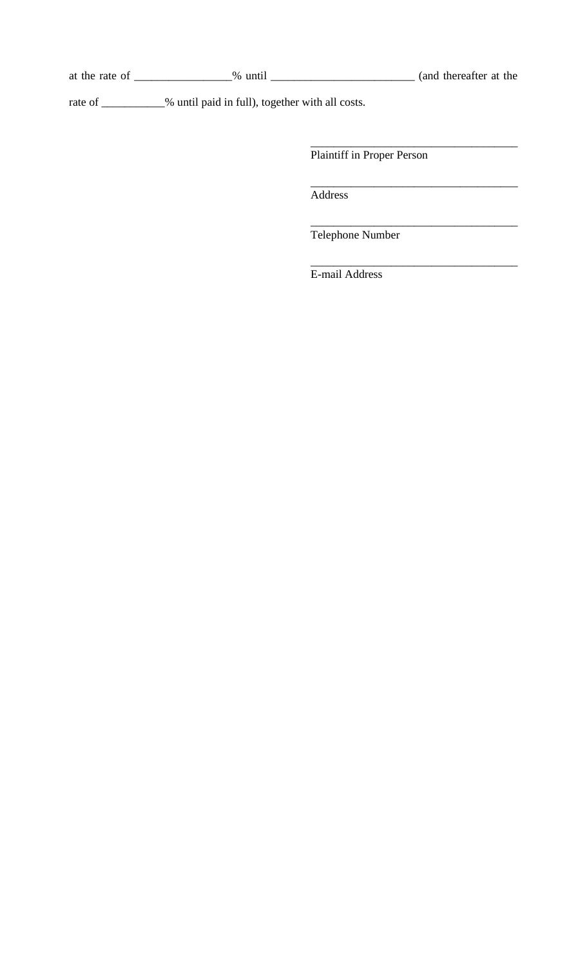at the rate of \_\_\_\_\_\_\_\_\_\_\_\_\_\_\_% until \_\_\_\_\_\_\_\_\_\_\_\_\_\_\_\_\_\_\_\_\_\_\_\_(and thereafter at the

rate of \_\_\_\_\_\_\_\_\_% until paid in full), together with all costs.

Plaintiff in Proper Person

\_\_\_\_\_\_\_\_\_\_\_\_\_\_\_\_\_\_\_\_\_\_\_\_\_\_\_\_\_\_\_\_\_\_\_\_

\_\_\_\_\_\_\_\_\_\_\_\_\_\_\_\_\_\_\_\_\_\_\_\_\_\_\_\_\_\_\_\_\_\_\_\_

\_\_\_\_\_\_\_\_\_\_\_\_\_\_\_\_\_\_\_\_\_\_\_\_\_\_\_\_\_\_\_\_\_\_\_\_

\_\_\_\_\_\_\_\_\_\_\_\_\_\_\_\_\_\_\_\_\_\_\_\_\_\_\_\_\_\_\_\_\_\_\_\_

Address

Telephone Number

E-mail Address